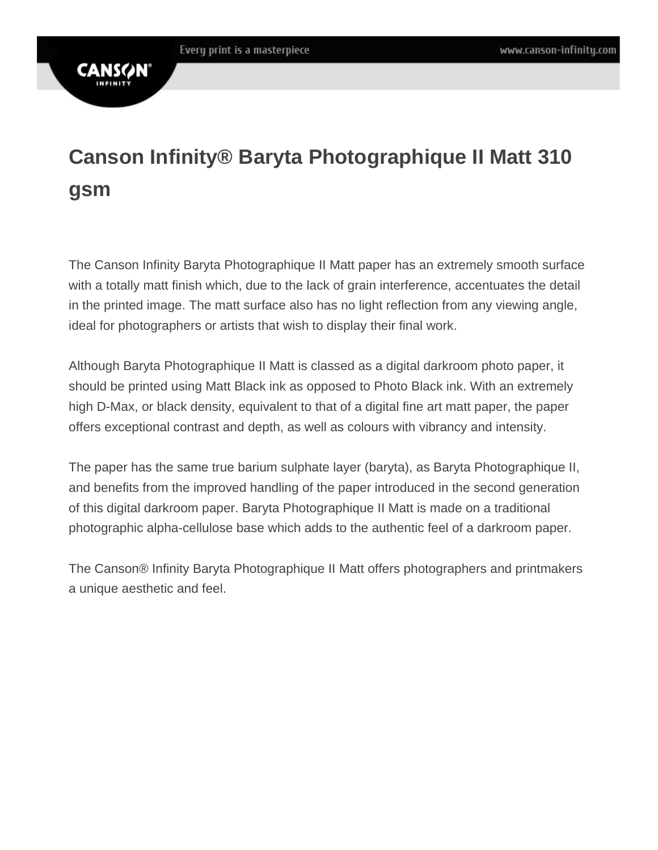# **CANS**

## **Canson Infinity® Baryta Photographique II Matt 310 gsm**

The Canson Infinity Baryta Photographique II Matt paper has an extremely smooth surface with a totally matt finish which, due to the lack of grain interference, accentuates the detail in the printed image. The matt surface also has no light reflection from any viewing angle, ideal for photographers or artists that wish to display their final work.

Although Baryta Photographique II Matt is classed as a digital darkroom photo paper, it should be printed using Matt Black ink as opposed to Photo Black ink. With an extremely high D-Max, or black density, equivalent to that of a digital fine art matt paper, the paper offers exceptional contrast and depth, as well as colours with vibrancy and intensity.

The paper has the same true barium sulphate layer (baryta), as Baryta Photographique II, and benefits from the improved handling of the paper introduced in the second generation of this digital darkroom paper. Baryta Photographique II Matt is made on a traditional photographic alpha-cellulose base which adds to the authentic feel of a darkroom paper.

The Canson® Infinity Baryta Photographique II Matt offers photographers and printmakers a unique aesthetic and feel.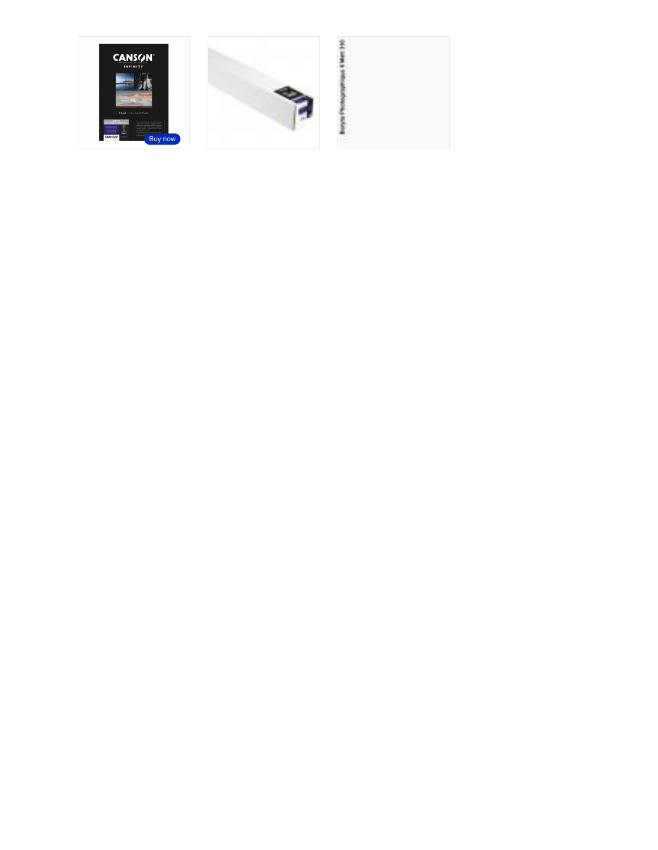



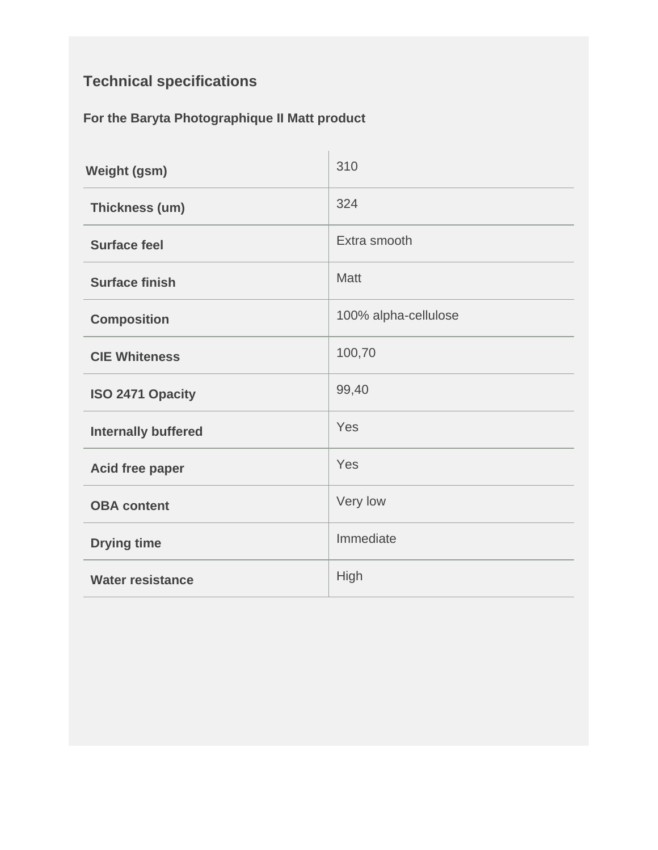### **Technical specifications**

#### **For the Baryta Photographique II Matt product**

| <b>Weight (gsm)</b>        | 310                  |
|----------------------------|----------------------|
| Thickness (um)             | 324                  |
| <b>Surface feel</b>        | Extra smooth         |
| <b>Surface finish</b>      | <b>Matt</b>          |
| <b>Composition</b>         | 100% alpha-cellulose |
| <b>CIE Whiteness</b>       | 100,70               |
| ISO 2471 Opacity           | 99,40                |
| <b>Internally buffered</b> | Yes                  |
| Acid free paper            | Yes                  |
| <b>OBA content</b>         | Very low             |
| <b>Drying time</b>         | Immediate            |
| <b>Water resistance</b>    | High                 |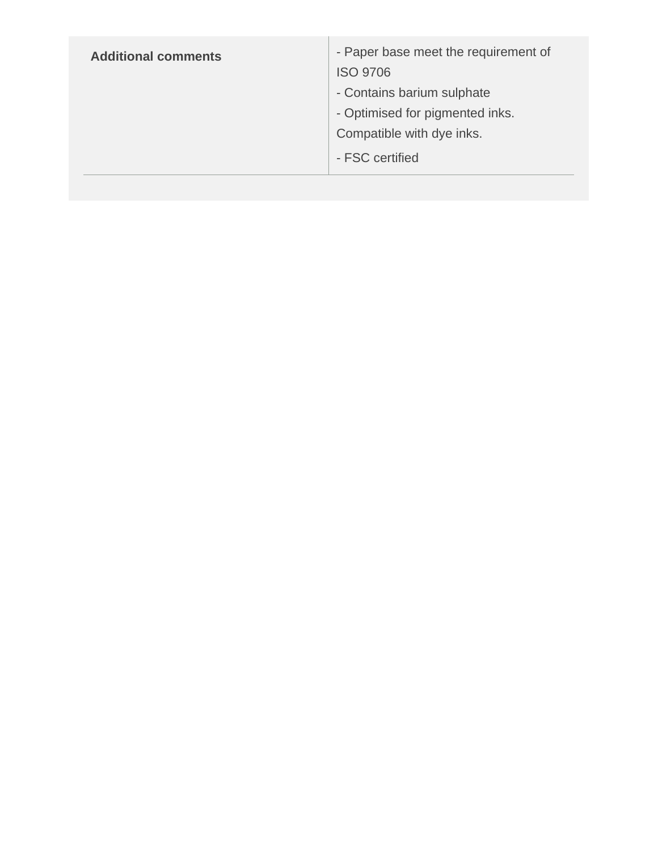| <b>Additional comments</b> | - Paper base meet the requirement of<br><b>ISO 9706</b><br>- Contains barium sulphate<br>- Optimised for pigmented inks.<br>Compatible with dye inks.<br>- FSC certified |
|----------------------------|--------------------------------------------------------------------------------------------------------------------------------------------------------------------------|
|                            |                                                                                                                                                                          |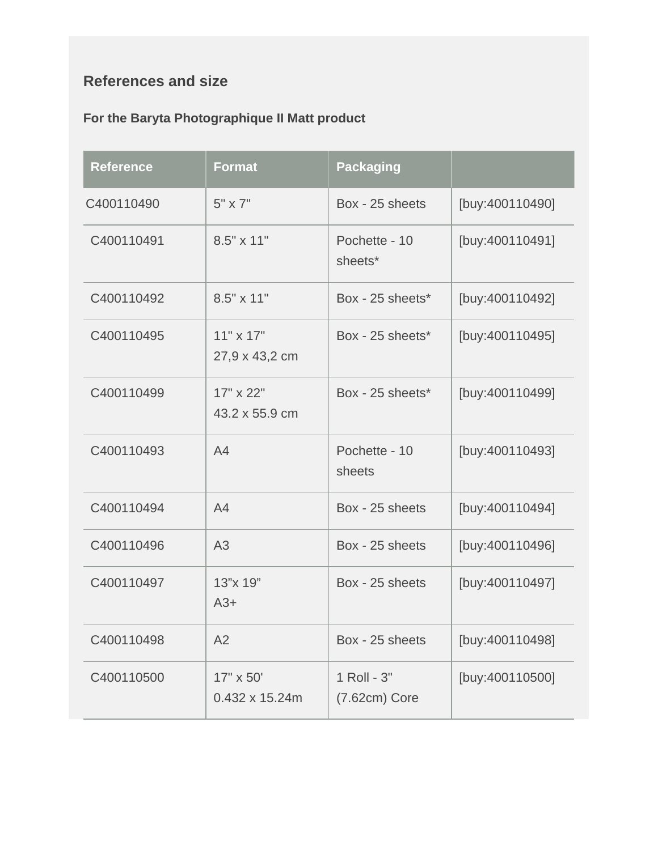#### **References and size**

#### **For the Baryta Photographique II Matt product**

| <b>Reference</b> | <b>Format</b>                      | <b>Packaging</b>             |                 |
|------------------|------------------------------------|------------------------------|-----------------|
| C400110490       | $5" \times 7"$                     | Box - 25 sheets              | [buy:400110490] |
| C400110491       | $8.5" \times 11"$                  | Pochette - 10<br>sheets*     | [buy:400110491] |
| C400110492       | $8.5" \times 11"$                  | Box - 25 sheets*             | [buy:400110492] |
| C400110495       | $11" \times 17"$<br>27,9 x 43,2 cm | Box - 25 sheets*             | [buy:400110495] |
| C400110499       | 17" x 22"<br>43.2 x 55.9 cm        | Box - 25 sheets*             | [buy:400110499] |
| C400110493       | A4                                 | Pochette - 10<br>sheets      | [buy:400110493] |
| C400110494       | A4                                 | Box - 25 sheets              | [buy:400110494] |
| C400110496       | A <sub>3</sub>                     | Box - 25 sheets              | [buy:400110496] |
| C400110497       | 13"x 19"<br>$A3+$                  | Box - 25 sheets              | [buy:400110497] |
| C400110498       | A2                                 | Box - 25 sheets              | [buy:400110498] |
| C400110500       | 17" x 50'<br>0.432 x 15.24m        | 1 Roll - 3"<br>(7.62cm) Core | [buy:400110500] |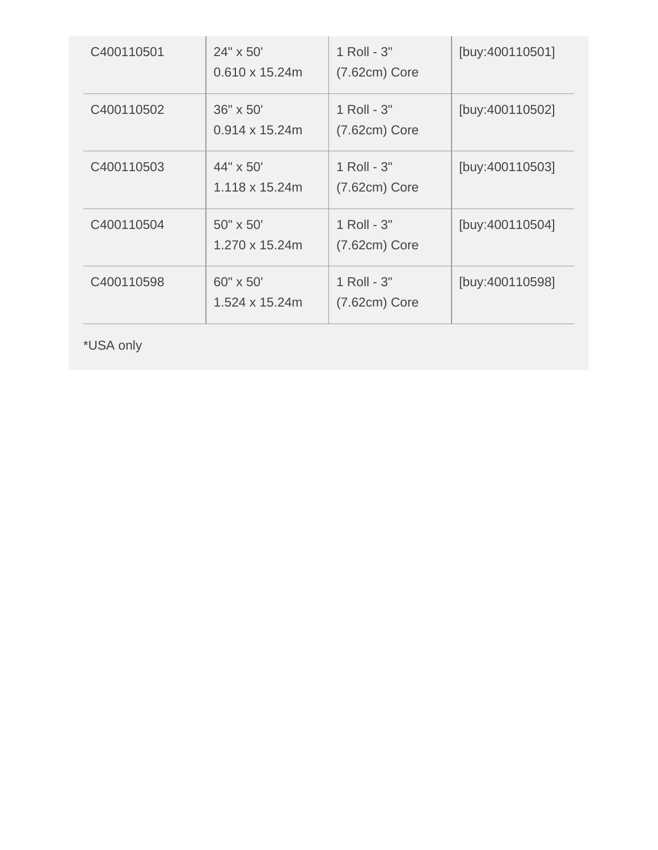| C400110501 | 24" x 50"<br>$0.610 \times 15.24$ m | 1 Roll - 3"<br>$(7.62cm)$ Core | [buy:400110501] |
|------------|-------------------------------------|--------------------------------|-----------------|
| C400110502 | 36" x 50"<br>$0.914 \times 15.24$ m | 1 Roll - 3"<br>$(7.62cm)$ Core | [buy:400110502] |
| C400110503 | 44" x 50"<br>$1.118 \times 15.24$ m | 1 Roll - 3"<br>$(7.62cm)$ Core | [buy:400110503] |
| C400110504 | 50" x 50"<br>1.270 x 15.24m         | 1 Roll - 3"<br>$(7.62cm)$ Core | [buy:400110504] |
| C400110598 | 60" x 50"<br>$1.524 \times 15.24$ m | 1 Roll - 3"<br>$(7.62cm)$ Core | [buy:400110598] |

\*USA only